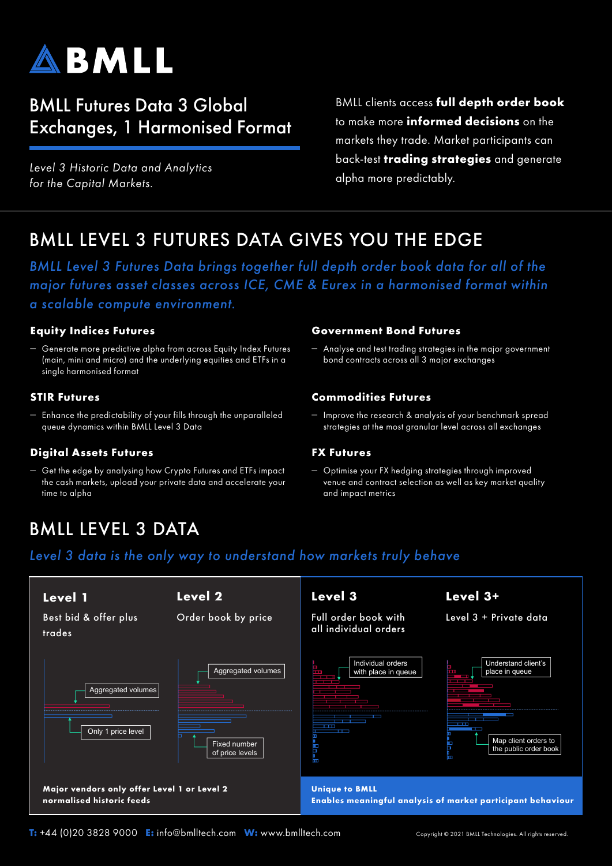

## BMLL Futures Data 3 Global Exchanges, 1 Harmonised Format

*Level 3 Historic Data and Analytics for the Capital Markets.*

BMLL clients access **full depth order book** to make more **informed decisions** on the markets they trade. Market participants can back-test **trading strategies** and generate alpha more predictably.

## BMLL LEVEL 3 FUTURES DATA GIVES YOU THE EDGE

*BMLL Level 3 Futures Data brings together full depth order book data for all of the major futures asset classes across ICE, CME & Eurex in a harmonised format within a scalable compute environment.*

## **Equity Indices Futures**

– Generate more predictive alpha from across Equity Index Futures (main, mini and micro) and the underlying equities and ETFs in a single harmonised format

### **STIR Futures**

– Enhance the predictability of your fills through the unparalleled queue dynamics within BMLL Level 3 Data

## **Digital Assets Futures**

– Get the edge by analysing how Crypto Futures and ETFs impact the cash markets, upload your private data and accelerate your time to alpha

### **Government Bond Futures**

– Analyse and test trading strategies in the major government bond contracts across all 3 major exchanges

## **Commodities Futures**

– Improve the research & analysis of your benchmark spread strategies at the most granular level across all exchanges

### **FX Futures**

– Optimise your FX hedging strategies through improved venue and contract selection as well as key market quality and impact metrics

# BMLL LEVEL 3 DATA

## *Level 3 data is the only way to understand how markets truly behave*